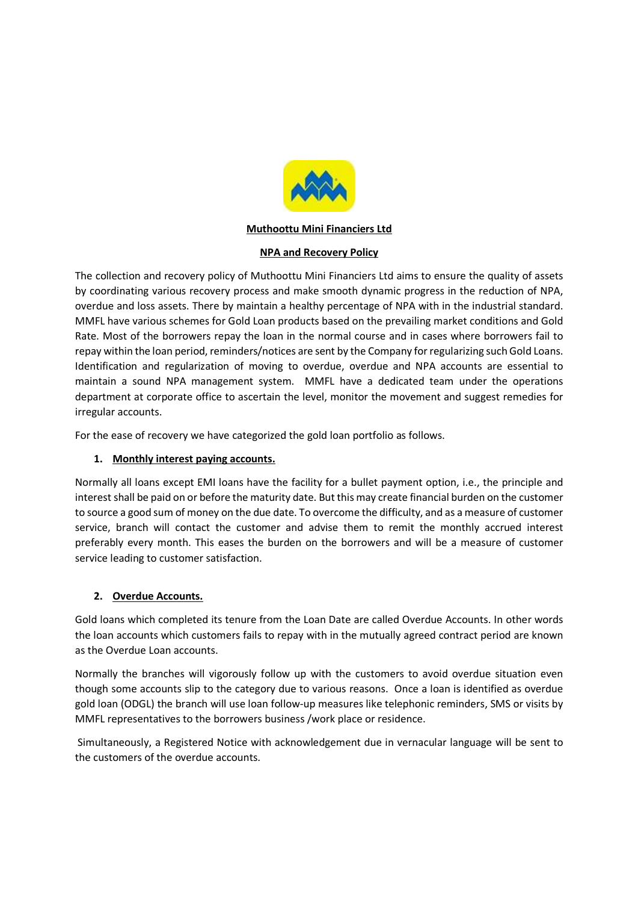

### Muthoottu Mini Financiers Ltd

#### NPA and Recovery Policy

The collection and recovery policy of Muthoottu Mini Financiers Ltd aims to ensure the quality of assets by coordinating various recovery process and make smooth dynamic progress in the reduction of NPA, overdue and loss assets. There by maintain a healthy percentage of NPA with in the industrial standard. MMFL have various schemes for Gold Loan products based on the prevailing market conditions and Gold Rate. Most of the borrowers repay the loan in the normal course and in cases where borrowers fail to repay within the loan period, reminders/notices are sent by the Company for regularizing such Gold Loans. Identification and regularization of moving to overdue, overdue and NPA accounts are essential to maintain a sound NPA management system. MMFL have a dedicated team under the operations department at corporate office to ascertain the level, monitor the movement and suggest remedies for irregular accounts.

For the ease of recovery we have categorized the gold loan portfolio as follows.

### 1. Monthly interest paying accounts.

Normally all loans except EMI loans have the facility for a bullet payment option, i.e., the principle and interest shall be paid on or before the maturity date. But this may create financial burden on the customer to source a good sum of money on the due date. To overcome the difficulty, and as a measure of customer service, branch will contact the customer and advise them to remit the monthly accrued interest preferably every month. This eases the burden on the borrowers and will be a measure of customer service leading to customer satisfaction.

### 2. Overdue Accounts.

Gold loans which completed its tenure from the Loan Date are called Overdue Accounts. In other words the loan accounts which customers fails to repay with in the mutually agreed contract period are known as the Overdue Loan accounts.

Normally the branches will vigorously follow up with the customers to avoid overdue situation even though some accounts slip to the category due to various reasons. Once a loan is identified as overdue gold loan (ODGL) the branch will use loan follow-up measures like telephonic reminders, SMS or visits by MMFL representatives to the borrowers business /work place or residence.

 Simultaneously, a Registered Notice with acknowledgement due in vernacular language will be sent to the customers of the overdue accounts.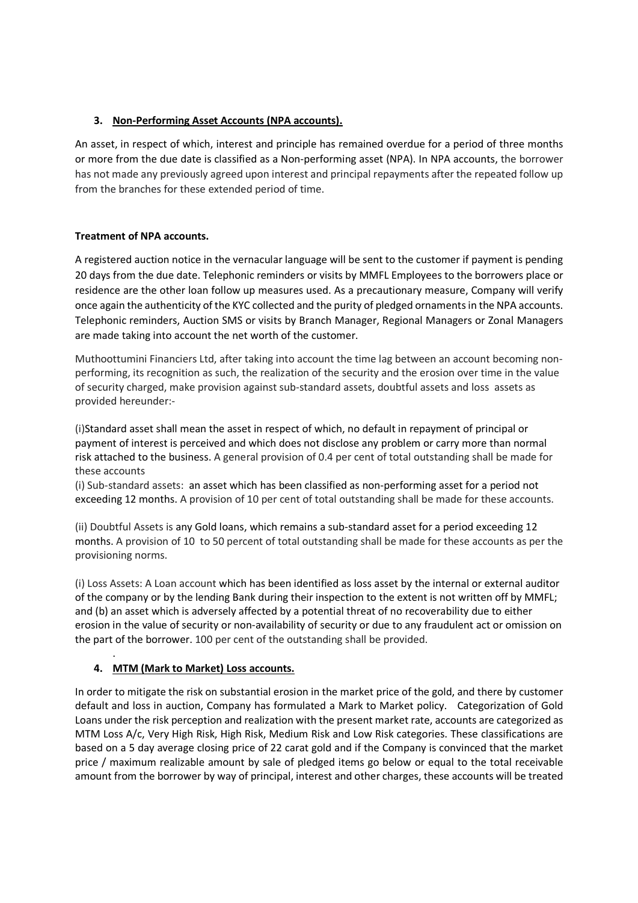# 3. Non-Performing Asset Accounts (NPA accounts).

An asset, in respect of which, interest and principle has remained overdue for a period of three months or more from the due date is classified as a Non-performing asset (NPA). In NPA accounts, the borrower has not made any previously agreed upon interest and principal repayments after the repeated follow up from the branches for these extended period of time.

### Treatment of NPA accounts.

A registered auction notice in the vernacular language will be sent to the customer if payment is pending 20 days from the due date. Telephonic reminders or visits by MMFL Employees to the borrowers place or residence are the other loan follow up measures used. As a precautionary measure, Company will verify once again the authenticity of the KYC collected and the purity of pledged ornaments in the NPA accounts. Telephonic reminders, Auction SMS or visits by Branch Manager, Regional Managers or Zonal Managers are made taking into account the net worth of the customer.

Muthoottumini Financiers Ltd, after taking into account the time lag between an account becoming nonperforming, its recognition as such, the realization of the security and the erosion over time in the value of security charged, make provision against sub-standard assets, doubtful assets and loss assets as provided hereunder:-

(i)Standard asset shall mean the asset in respect of which, no default in repayment of principal or payment of interest is perceived and which does not disclose any problem or carry more than normal risk attached to the business. A general provision of 0.4 per cent of total outstanding shall be made for these accounts

(i) Sub-standard assets: an asset which has been classified as non-performing asset for a period not exceeding 12 months. A provision of 10 per cent of total outstanding shall be made for these accounts.

(ii) Doubtful Assets is any Gold loans, which remains a sub-standard asset for a period exceeding 12 months. A provision of 10 to 50 percent of total outstanding shall be made for these accounts as per the provisioning norms.

(i) Loss Assets: A Loan account which has been identified as loss asset by the internal or external auditor of the company or by the lending Bank during their inspection to the extent is not written off by MMFL; and (b) an asset which is adversely affected by a potential threat of no recoverability due to either erosion in the value of security or non-availability of security or due to any fraudulent act or omission on the part of the borrower. 100 per cent of the outstanding shall be provided.

# 4. MTM (Mark to Market) Loss accounts.

.

In order to mitigate the risk on substantial erosion in the market price of the gold, and there by customer default and loss in auction, Company has formulated a Mark to Market policy. Categorization of Gold Loans under the risk perception and realization with the present market rate, accounts are categorized as MTM Loss A/c, Very High Risk, High Risk, Medium Risk and Low Risk categories. These classifications are based on a 5 day average closing price of 22 carat gold and if the Company is convinced that the market price / maximum realizable amount by sale of pledged items go below or equal to the total receivable amount from the borrower by way of principal, interest and other charges, these accounts will be treated